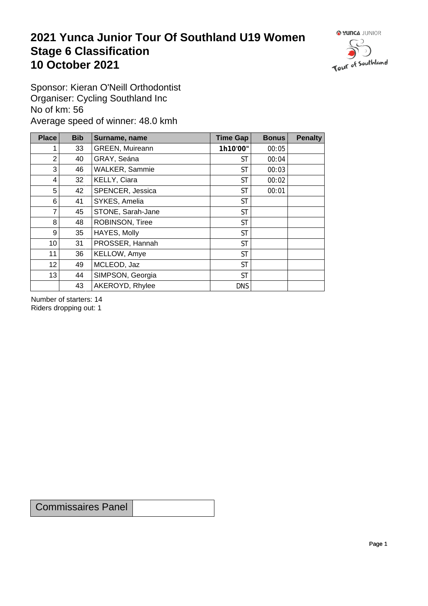## **2021 Yunca Junior Tour Of Southland U19 Women** Stage 6 Classification<br>10 October 2021 **10 October 2021**



Sponsor: Kieran O'Neill Orthodontist Organiser: Cycling Southland Inc No of km: 56 Average speed of winner: 48.0 kmh

| <b>Place</b>    | <b>Bib</b> | Surname, name     | Time Gap   | <b>Bonus</b> | <b>Penalty</b> |
|-----------------|------------|-------------------|------------|--------------|----------------|
|                 | 33         | GREEN, Muireann   | 1h10'00"   | 00:05        |                |
| $\overline{2}$  | 40         | GRAY, Seána       | <b>ST</b>  | 00:04        |                |
| 3               | 46         | WALKER, Sammie    | <b>ST</b>  | 00:03        |                |
| 4               | 32         | KELLY, Ciara      | <b>ST</b>  | 00:02        |                |
| 5               | 42         | SPENCER, Jessica  | <b>ST</b>  | 00:01        |                |
| 6               | 41         | SYKES, Amelia     | <b>ST</b>  |              |                |
| 7               | 45         | STONE, Sarah-Jane | <b>ST</b>  |              |                |
| 8               | 48         | ROBINSON, Tiree   | <b>ST</b>  |              |                |
| 9               | 35         | HAYES, Molly      | <b>ST</b>  |              |                |
| 10 <sup>1</sup> | 31         | PROSSER, Hannah   | <b>ST</b>  |              |                |
| 11              | 36         | KELLOW, Amye      | <b>ST</b>  |              |                |
| 12              | 49         | MCLEOD, Jaz       | <b>ST</b>  |              |                |
| 13              | 44         | SIMPSON, Georgia  | <b>ST</b>  |              |                |
|                 | 43         | AKEROYD, Rhylee   | <b>DNS</b> |              |                |

Number of starters: 14 Riders dropping out: 1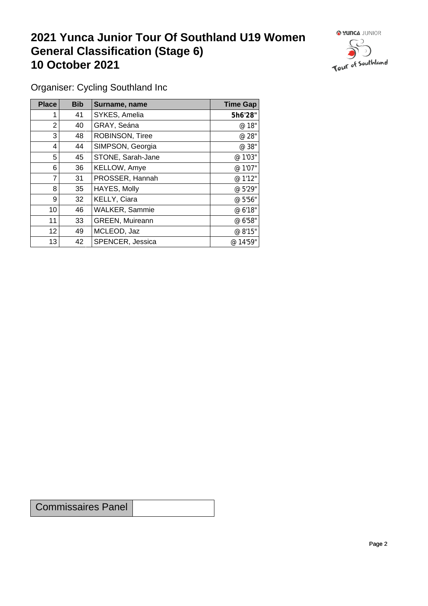## **2021 Yunca Junior Tour Of Southland U19 Women General Classification (Stage 6)**<br>10 October 2021 **10 October 2021**



Organiser: Cycling Southland Inc

| Place | <b>Bib</b> | Surname, name          | <b>Time Gap</b> |
|-------|------------|------------------------|-----------------|
|       | 41         | SYKES, Amelia          | 5h6'28"         |
| 2     | 40         | GRAY, Seána            | @ 18"           |
| 3     | 48         | ROBINSON, Tiree        | @ 28"           |
| 4     | 44         | SIMPSON, Georgia       | @ 38"           |
| 5     | 45         | STONE, Sarah-Jane      | @ 1'03"         |
| 6     | 36         | KELLOW, Amye           | @ 1'07"         |
| 7     | 31         | PROSSER, Hannah        | @ 1'12"         |
| 8     | 35         | HAYES, Molly           | @ 5'29"         |
| 9     | 32         | KELLY, Ciara           | @ 5'56"         |
| 10    | 46         | <b>WALKER, Sammie</b>  | @ 6'18"         |
| 11    | 33         | <b>GREEN, Muireann</b> | @ 6'58"         |
| 12    | 49         | MCLEOD, Jaz            | @ 8'15"         |
| 13    | 42         | SPENCER, Jessica       | @ 14'59"        |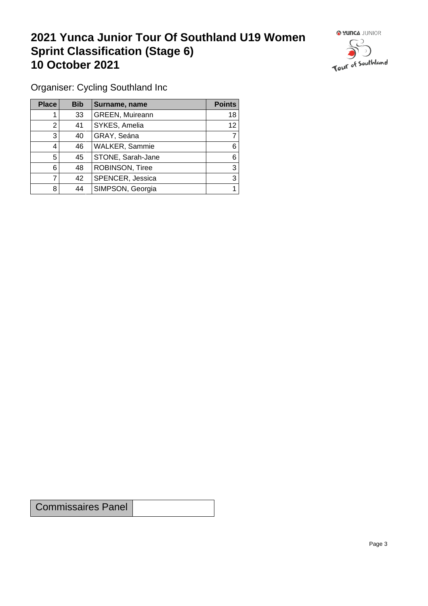## **2021 Yunca Junior Tour Of Southland U19 Women Sprint Classification (Stage 6) 10 October 2021 10 October 2021**



Organiser: Cycling Southland Inc

| <b>Place</b> | <b>Bib</b> | Surname, name          | <b>Points</b> |
|--------------|------------|------------------------|---------------|
|              | 33         | <b>GREEN, Muireann</b> | 18            |
| ◠            | 41         | SYKES, Amelia          | 12            |
| 3            | 40         | GRAY, Seána            |               |
| 4            | 46         | WALKER, Sammie         | 6             |
| 5            | 45         | STONE, Sarah-Jane      | 6             |
| 6            | 48         | ROBINSON, Tiree        | 3             |
|              | 42         | SPENCER, Jessica       | 3             |
| 8            | 44         | SIMPSON, Georgia       |               |